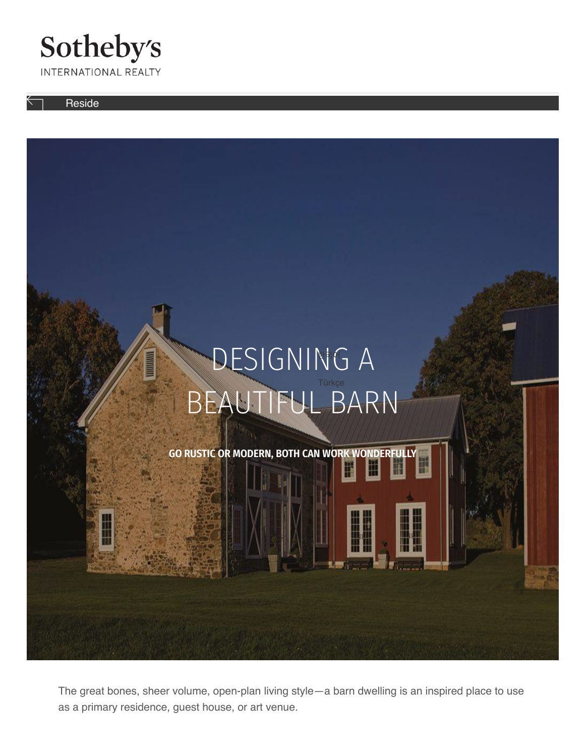#### Sotheby's INTERNATIONAL REALTY

Reside

<span id="page-0-0"></span>

The great bones, sheer volume, open-plan living style—a barn dwelling is an inspired place to use [as a primary re](#page-0-0)sidence, guest house, or art venue.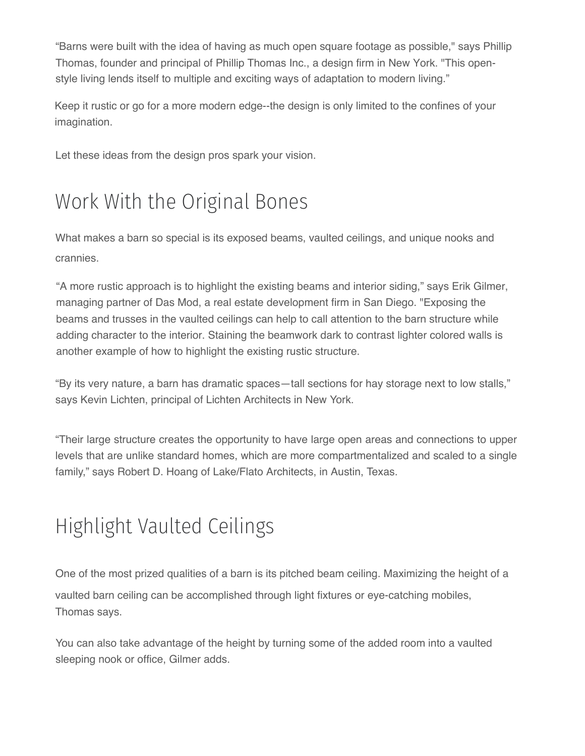"Barns were bui[lt with th](https://www.sothebysrealty.com/eng/sales/search)e idea of [havi](https://www.sothebysrealty.com/eng/extraordinary-living-blog)[ng as muc](https://www.sothebysrealty.com/eng/extraordinary-marketing)h open square footage as possible," says Phillip [Thomas, founde](https://www.sothebysrealty.com/)r and principal of Phillip Thomas Inc., a design firm in New York. "This openstyle living lends itself to multiple and exciting ways of adaptation to modern living."

Keep it rustic or go for a more modern edge--the design is only limited to the confines of your imagination.

Let these ideas from the design pros spark your vision[.](https://www.sothebysrealty.com/eng/designing-beautiful-barn)

# Work With the Original Bones

What makes a barn so special is its exposed beams, [vaulted ceilings, and uni](https://www.sothebysrealty.com/ita/designing-beautiful-barn)[que nooks and](https://www.sothebysrealty.com/jpn/designing-beautiful-barn) crannies.

"A more rustic approach is to highlight the existing be[ams and interior siding,"](https://www.sothebysrealty.com/pob/designing-beautiful-barn) [says Erik Gilmer,](https://www.sothebysrealty.com/por/designing-beautiful-barn) managing partner of Das Mod, a real estate develop[ment firm in San Diego. "](https://www.sothebysrealty.com/rus/designing-beautiful-barn)[Exposing the](https://www.sothebysrealty.com/zhs/designing-beautiful-barn)  beams and trusses in the vaulted ceilings can help to call attention to the barn structure while adding character to the interior. Staining the beamwor[k dark to contrast lighte](https://www.sothebysrealty.com/zht/designing-beautiful-barn)[r colored walls is](https://www.sothebysrealty.com/vie/designing-beautiful-barn)  another example of how to highlight the existing rustic [structure.](https://www.sothebysrealty.com/kor/designing-beautiful-barn) 

"By its very nature, a barn has dramatic spaces—tall s[ections for hay storage](https://www.sothebysrealty.com/tur/designing-beautiful-barn) [next to low stalls,"](https://www.sothebysrealty.com/nld/designing-beautiful-barn) says Kevin Lichten, principal of Lichten Architects in New York.

"Their large structure creates the opportunity to have large open areas and connections to upper levels that are unlike standard homes, which are more compartmentalized and scaled to a single family," says Robert D. Hoang of Lake/Flato Architects, in Austin, Texas.

## Highlight Vaulted Ceilings

One of the most prized qualities of a barn is its pitched beam ceiling. Maximizing the height of a vaulted barn ceiling can be accomplished through light fixtures or eye-catching mobiles, Thomas says.

You can also take advantage of the height by turning some of the added room into a vaulted sleeping nook or office, Gilmer adds.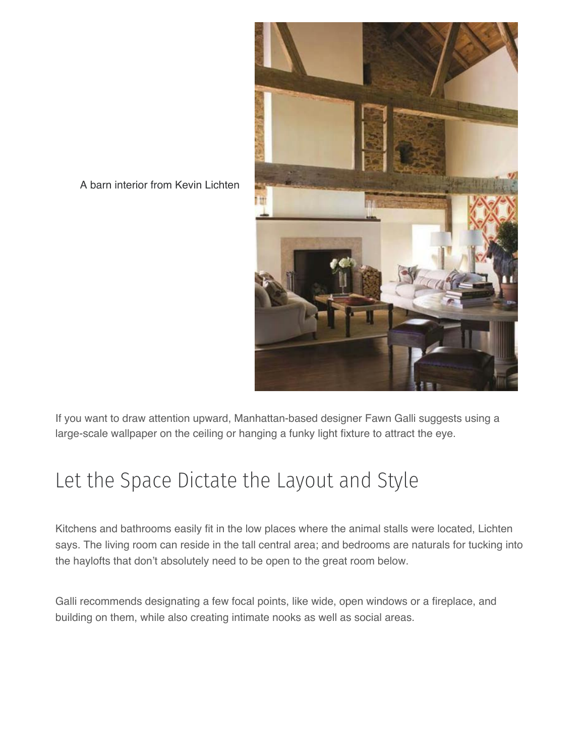

A barn interior from Kevin Lichten

If you want to draw attention upward, Manhattan-based designer Fawn Galli suggests using a large-scale wallpaper on the ceiling or hanging a funky light fixture to attract the eye.

#### Let the Space Dictate the Layout and Style

Kitchens and bathrooms easily fit in the low places where the animal stalls were located, Lichten says. The living room can reside in the tall central area; and bedrooms are naturals for tucking into the haylofts that don't absolutely need to be open to the great room below.

Galli recommends designating a few focal points, like wide, open windows or a fireplace, and building on them, while also creating intimate nooks as well as social areas.